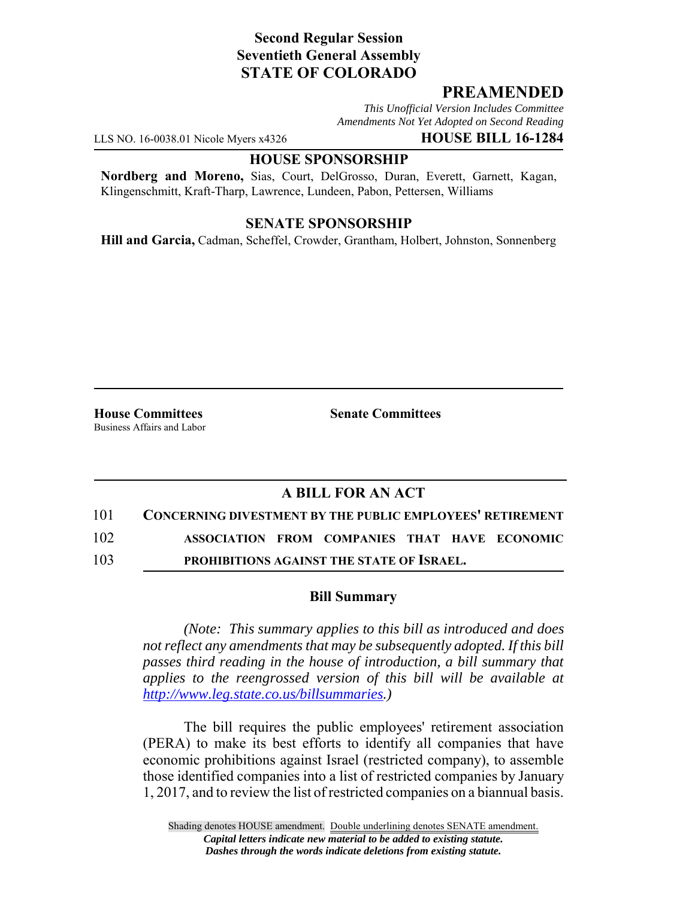## **Second Regular Session Seventieth General Assembly STATE OF COLORADO**

## **PREAMENDED**

*This Unofficial Version Includes Committee Amendments Not Yet Adopted on Second Reading*

LLS NO. 16-0038.01 Nicole Myers x4326 **HOUSE BILL 16-1284**

#### **HOUSE SPONSORSHIP**

**Nordberg and Moreno,** Sias, Court, DelGrosso, Duran, Everett, Garnett, Kagan, Klingenschmitt, Kraft-Tharp, Lawrence, Lundeen, Pabon, Pettersen, Williams

### **SENATE SPONSORSHIP**

**Hill and Garcia,** Cadman, Scheffel, Crowder, Grantham, Holbert, Johnston, Sonnenberg

**House Committees Senate Committees** Business Affairs and Labor

# **A BILL FOR AN ACT**

101 **CONCERNING DIVESTMENT BY THE PUBLIC EMPLOYEES' RETIREMENT**

102 **ASSOCIATION FROM COMPANIES THAT HAVE ECONOMIC**

103 **PROHIBITIONS AGAINST THE STATE OF ISRAEL.**

### **Bill Summary**

*(Note: This summary applies to this bill as introduced and does not reflect any amendments that may be subsequently adopted. If this bill passes third reading in the house of introduction, a bill summary that applies to the reengrossed version of this bill will be available at http://www.leg.state.co.us/billsummaries.)*

The bill requires the public employees' retirement association (PERA) to make its best efforts to identify all companies that have economic prohibitions against Israel (restricted company), to assemble those identified companies into a list of restricted companies by January 1, 2017, and to review the list of restricted companies on a biannual basis.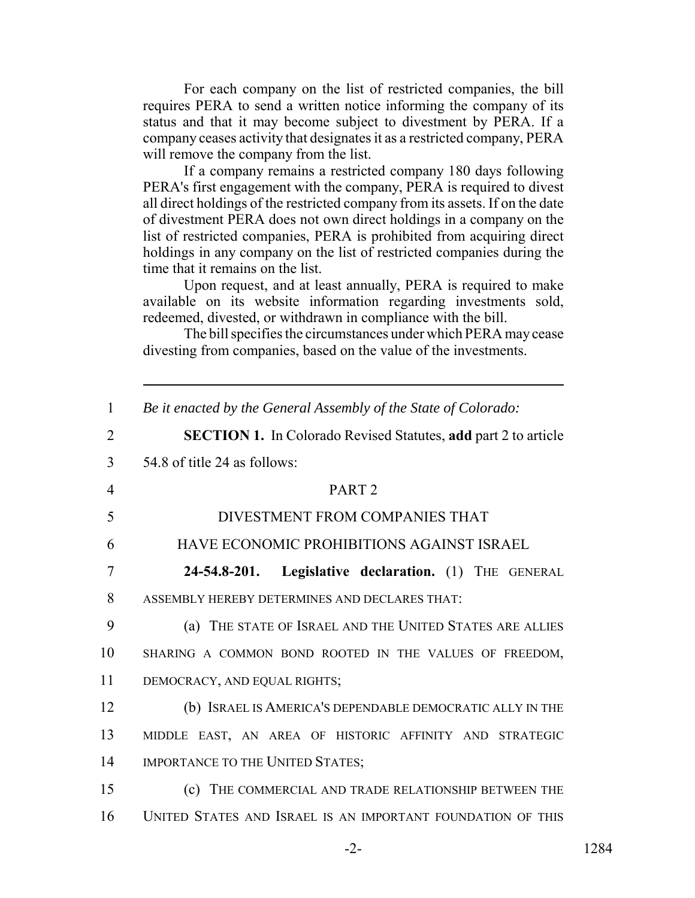For each company on the list of restricted companies, the bill requires PERA to send a written notice informing the company of its status and that it may become subject to divestment by PERA. If a company ceases activity that designates it as a restricted company, PERA will remove the company from the list.

If a company remains a restricted company 180 days following PERA's first engagement with the company, PERA is required to divest all direct holdings of the restricted company from its assets. If on the date of divestment PERA does not own direct holdings in a company on the list of restricted companies, PERA is prohibited from acquiring direct holdings in any company on the list of restricted companies during the time that it remains on the list.

Upon request, and at least annually, PERA is required to make available on its website information regarding investments sold, redeemed, divested, or withdrawn in compliance with the bill.

The bill specifies the circumstances under which PERA may cease divesting from companies, based on the value of the investments.

| $\mathbf{1}$   | Be it enacted by the General Assembly of the State of Colorado:       |
|----------------|-----------------------------------------------------------------------|
| $\overline{2}$ | <b>SECTION 1.</b> In Colorado Revised Statutes, add part 2 to article |
| 3              | 54.8 of title 24 as follows:                                          |
| $\overline{4}$ | PART <sub>2</sub>                                                     |
| 5              | DIVESTMENT FROM COMPANIES THAT                                        |
| 6              | HAVE ECONOMIC PROHIBITIONS AGAINST ISRAEL                             |
| $\overline{7}$ | Legislative declaration. (1) THE GENERAL<br>24-54.8-201.              |
| 8              | ASSEMBLY HEREBY DETERMINES AND DECLARES THAT:                         |
| 9              | (a) THE STATE OF ISRAEL AND THE UNITED STATES ARE ALLIES              |
| 10             | SHARING A COMMON BOND ROOTED IN THE VALUES OF FREEDOM,                |
| 11             | DEMOCRACY, AND EQUAL RIGHTS;                                          |
| 12             | (b) ISRAEL IS AMERICA'S DEPENDABLE DEMOCRATIC ALLY IN THE             |
| 13             | MIDDLE EAST, AN AREA OF HISTORIC AFFINITY AND STRATEGIC               |
| 14             | IMPORTANCE TO THE UNITED STATES;                                      |
| 15             | (c) THE COMMERCIAL AND TRADE RELATIONSHIP BETWEEN THE                 |
| 16             | UNITED STATES AND ISRAEL IS AN IMPORTANT FOUNDATION OF THIS           |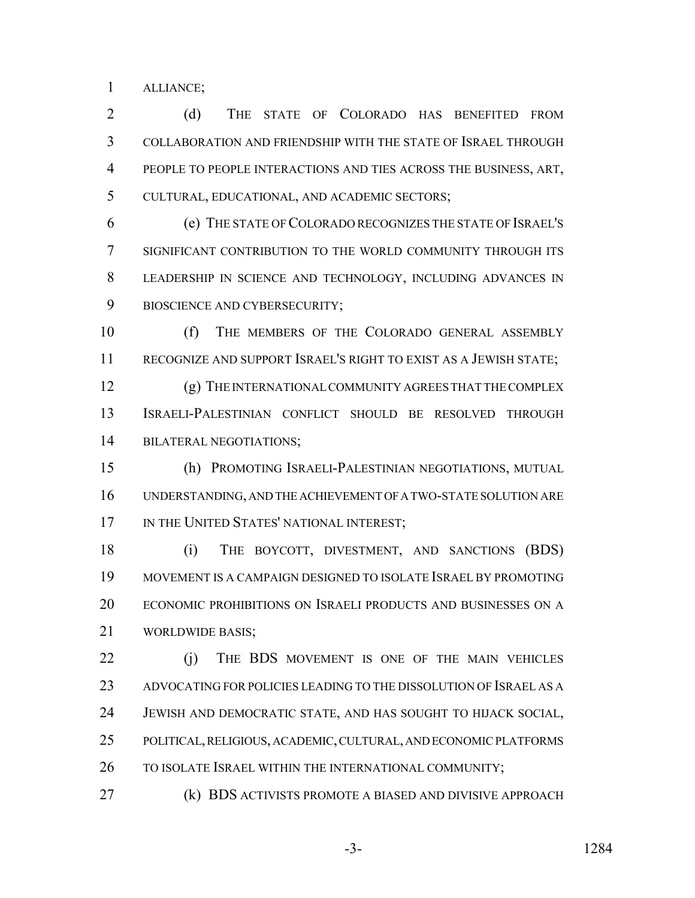ALLIANCE;

 (d) THE STATE OF COLORADO HAS BENEFITED FROM COLLABORATION AND FRIENDSHIP WITH THE STATE OF ISRAEL THROUGH PEOPLE TO PEOPLE INTERACTIONS AND TIES ACROSS THE BUSINESS, ART, CULTURAL, EDUCATIONAL, AND ACADEMIC SECTORS;

 (e) THE STATE OF COLORADO RECOGNIZES THE STATE OF ISRAEL'S SIGNIFICANT CONTRIBUTION TO THE WORLD COMMUNITY THROUGH ITS LEADERSHIP IN SCIENCE AND TECHNOLOGY, INCLUDING ADVANCES IN BIOSCIENCE AND CYBERSECURITY;

 (f) THE MEMBERS OF THE COLORADO GENERAL ASSEMBLY RECOGNIZE AND SUPPORT ISRAEL'S RIGHT TO EXIST AS A JEWISH STATE;

 (g) THE INTERNATIONAL COMMUNITY AGREES THAT THE COMPLEX ISRAELI-PALESTINIAN CONFLICT SHOULD BE RESOLVED THROUGH BILATERAL NEGOTIATIONS;

 (h) PROMOTING ISRAELI-PALESTINIAN NEGOTIATIONS, MUTUAL UNDERSTANDING, AND THE ACHIEVEMENT OF A TWO-STATE SOLUTION ARE 17 IN THE UNITED STATES' NATIONAL INTEREST;

 (i) THE BOYCOTT, DIVESTMENT, AND SANCTIONS (BDS) MOVEMENT IS A CAMPAIGN DESIGNED TO ISOLATE ISRAEL BY PROMOTING ECONOMIC PROHIBITIONS ON ISRAELI PRODUCTS AND BUSINESSES ON A WORLDWIDE BASIS;

22 (i) THE BDS MOVEMENT IS ONE OF THE MAIN VEHICLES ADVOCATING FOR POLICIES LEADING TO THE DISSOLUTION OF ISRAEL AS A JEWISH AND DEMOCRATIC STATE, AND HAS SOUGHT TO HIJACK SOCIAL, POLITICAL, RELIGIOUS, ACADEMIC, CULTURAL, AND ECONOMIC PLATFORMS 26 TO ISOLATE ISRAEL WITHIN THE INTERNATIONAL COMMUNITY;

(k) BDS ACTIVISTS PROMOTE A BIASED AND DIVISIVE APPROACH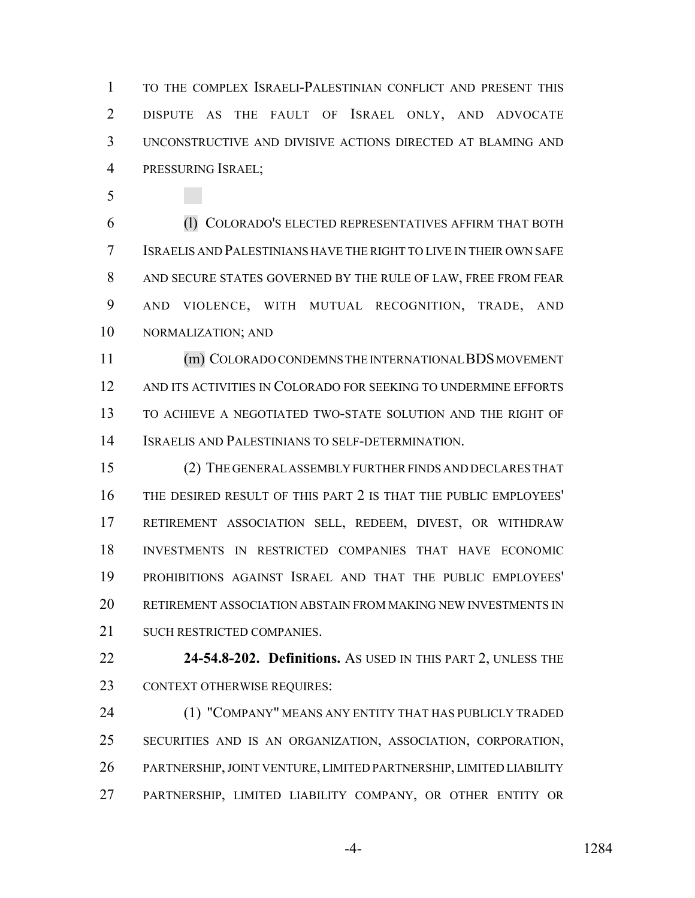TO THE COMPLEX ISRAELI-PALESTINIAN CONFLICT AND PRESENT THIS DISPUTE AS THE FAULT OF ISRAEL ONLY, AND ADVOCATE UNCONSTRUCTIVE AND DIVISIVE ACTIONS DIRECTED AT BLAMING AND PRESSURING ISRAEL;

 (l) COLORADO'S ELECTED REPRESENTATIVES AFFIRM THAT BOTH ISRAELIS AND PALESTINIANS HAVE THE RIGHT TO LIVE IN THEIR OWN SAFE AND SECURE STATES GOVERNED BY THE RULE OF LAW, FREE FROM FEAR AND VIOLENCE, WITH MUTUAL RECOGNITION, TRADE, AND NORMALIZATION; AND

 (m) COLORADO CONDEMNS THE INTERNATIONAL BDS MOVEMENT AND ITS ACTIVITIES IN COLORADO FOR SEEKING TO UNDERMINE EFFORTS TO ACHIEVE A NEGOTIATED TWO-STATE SOLUTION AND THE RIGHT OF ISRAELIS AND PALESTINIANS TO SELF-DETERMINATION.

 (2) THE GENERAL ASSEMBLY FURTHER FINDS AND DECLARES THAT THE DESIRED RESULT OF THIS PART 2 IS THAT THE PUBLIC EMPLOYEES' RETIREMENT ASSOCIATION SELL, REDEEM, DIVEST, OR WITHDRAW INVESTMENTS IN RESTRICTED COMPANIES THAT HAVE ECONOMIC PROHIBITIONS AGAINST ISRAEL AND THAT THE PUBLIC EMPLOYEES' RETIREMENT ASSOCIATION ABSTAIN FROM MAKING NEW INVESTMENTS IN SUCH RESTRICTED COMPANIES.

 **24-54.8-202. Definitions.** AS USED IN THIS PART 2, UNLESS THE CONTEXT OTHERWISE REQUIRES:

 (1) "COMPANY" MEANS ANY ENTITY THAT HAS PUBLICLY TRADED SECURITIES AND IS AN ORGANIZATION, ASSOCIATION, CORPORATION, PARTNERSHIP, JOINT VENTURE, LIMITED PARTNERSHIP, LIMITED LIABILITY PARTNERSHIP, LIMITED LIABILITY COMPANY, OR OTHER ENTITY OR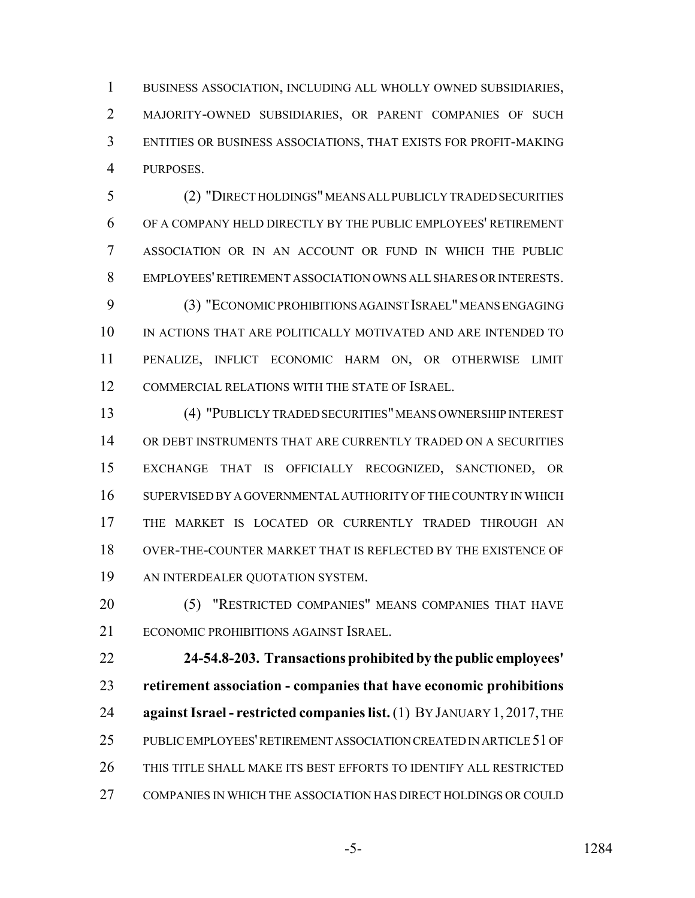BUSINESS ASSOCIATION, INCLUDING ALL WHOLLY OWNED SUBSIDIARIES, MAJORITY-OWNED SUBSIDIARIES, OR PARENT COMPANIES OF SUCH ENTITIES OR BUSINESS ASSOCIATIONS, THAT EXISTS FOR PROFIT-MAKING PURPOSES.

 (2) "DIRECT HOLDINGS" MEANS ALL PUBLICLY TRADED SECURITIES OF A COMPANY HELD DIRECTLY BY THE PUBLIC EMPLOYEES' RETIREMENT ASSOCIATION OR IN AN ACCOUNT OR FUND IN WHICH THE PUBLIC EMPLOYEES' RETIREMENT ASSOCIATION OWNS ALL SHARES OR INTERESTS.

 (3) "ECONOMIC PROHIBITIONS AGAINST ISRAEL" MEANS ENGAGING IN ACTIONS THAT ARE POLITICALLY MOTIVATED AND ARE INTENDED TO PENALIZE, INFLICT ECONOMIC HARM ON, OR OTHERWISE LIMIT COMMERCIAL RELATIONS WITH THE STATE OF ISRAEL.

 (4) "PUBLICLY TRADED SECURITIES" MEANS OWNERSHIP INTEREST OR DEBT INSTRUMENTS THAT ARE CURRENTLY TRADED ON A SECURITIES EXCHANGE THAT IS OFFICIALLY RECOGNIZED, SANCTIONED, OR SUPERVISED BY A GOVERNMENTAL AUTHORITY OF THE COUNTRY IN WHICH THE MARKET IS LOCATED OR CURRENTLY TRADED THROUGH AN OVER-THE-COUNTER MARKET THAT IS REFLECTED BY THE EXISTENCE OF AN INTERDEALER QUOTATION SYSTEM.

 (5) "RESTRICTED COMPANIES" MEANS COMPANIES THAT HAVE ECONOMIC PROHIBITIONS AGAINST ISRAEL.

 **24-54.8-203. Transactions prohibited by the public employees' retirement association - companies that have economic prohibitions against Israel - restricted companies list.** (1) BY JANUARY 1, 2017, THE PUBLIC EMPLOYEES' RETIREMENT ASSOCIATION CREATED IN ARTICLE 51 OF THIS TITLE SHALL MAKE ITS BEST EFFORTS TO IDENTIFY ALL RESTRICTED COMPANIES IN WHICH THE ASSOCIATION HAS DIRECT HOLDINGS OR COULD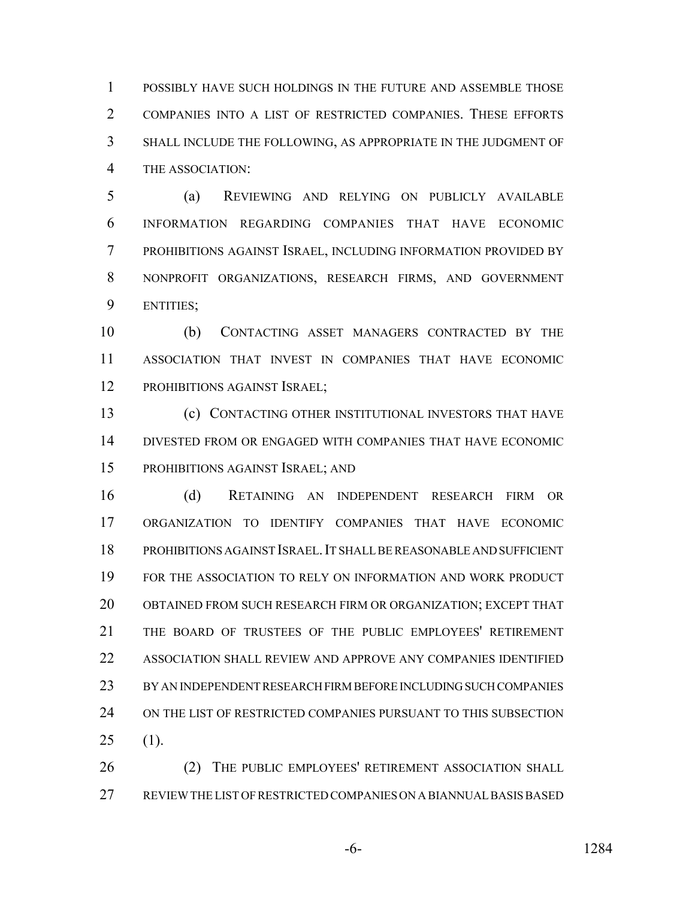POSSIBLY HAVE SUCH HOLDINGS IN THE FUTURE AND ASSEMBLE THOSE COMPANIES INTO A LIST OF RESTRICTED COMPANIES. THESE EFFORTS SHALL INCLUDE THE FOLLOWING, AS APPROPRIATE IN THE JUDGMENT OF THE ASSOCIATION:

 (a) REVIEWING AND RELYING ON PUBLICLY AVAILABLE INFORMATION REGARDING COMPANIES THAT HAVE ECONOMIC PROHIBITIONS AGAINST ISRAEL, INCLUDING INFORMATION PROVIDED BY NONPROFIT ORGANIZATIONS, RESEARCH FIRMS, AND GOVERNMENT ENTITIES;

 (b) CONTACTING ASSET MANAGERS CONTRACTED BY THE ASSOCIATION THAT INVEST IN COMPANIES THAT HAVE ECONOMIC 12 PROHIBITIONS AGAINST ISRAEL;

 (c) CONTACTING OTHER INSTITUTIONAL INVESTORS THAT HAVE DIVESTED FROM OR ENGAGED WITH COMPANIES THAT HAVE ECONOMIC PROHIBITIONS AGAINST ISRAEL; AND

 (d) RETAINING AN INDEPENDENT RESEARCH FIRM OR ORGANIZATION TO IDENTIFY COMPANIES THAT HAVE ECONOMIC PROHIBITIONS AGAINST ISRAEL.IT SHALL BE REASONABLE AND SUFFICIENT FOR THE ASSOCIATION TO RELY ON INFORMATION AND WORK PRODUCT OBTAINED FROM SUCH RESEARCH FIRM OR ORGANIZATION; EXCEPT THAT THE BOARD OF TRUSTEES OF THE PUBLIC EMPLOYEES' RETIREMENT ASSOCIATION SHALL REVIEW AND APPROVE ANY COMPANIES IDENTIFIED BY AN INDEPENDENT RESEARCH FIRM BEFORE INCLUDING SUCH COMPANIES ON THE LIST OF RESTRICTED COMPANIES PURSUANT TO THIS SUBSECTION (1).

26 (2) THE PUBLIC EMPLOYEES' RETIREMENT ASSOCIATION SHALL REVIEW THE LIST OF RESTRICTED COMPANIES ON A BIANNUAL BASIS BASED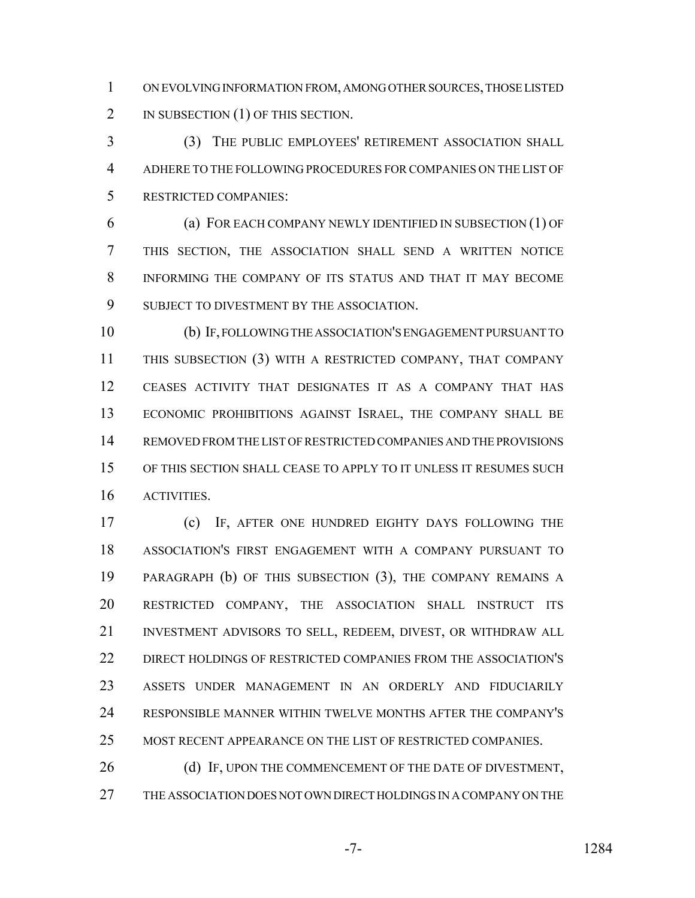ON EVOLVING INFORMATION FROM, AMONG OTHER SOURCES, THOSE LISTED 2 IN SUBSECTION (1) OF THIS SECTION.

 (3) THE PUBLIC EMPLOYEES' RETIREMENT ASSOCIATION SHALL ADHERE TO THE FOLLOWING PROCEDURES FOR COMPANIES ON THE LIST OF RESTRICTED COMPANIES:

 (a) FOR EACH COMPANY NEWLY IDENTIFIED IN SUBSECTION (1) OF THIS SECTION, THE ASSOCIATION SHALL SEND A WRITTEN NOTICE INFORMING THE COMPANY OF ITS STATUS AND THAT IT MAY BECOME 9 SUBJECT TO DIVESTMENT BY THE ASSOCIATION.

 (b) IF, FOLLOWING THE ASSOCIATION'S ENGAGEMENT PURSUANT TO THIS SUBSECTION (3) WITH A RESTRICTED COMPANY, THAT COMPANY CEASES ACTIVITY THAT DESIGNATES IT AS A COMPANY THAT HAS ECONOMIC PROHIBITIONS AGAINST ISRAEL, THE COMPANY SHALL BE REMOVED FROM THE LIST OF RESTRICTED COMPANIES AND THE PROVISIONS OF THIS SECTION SHALL CEASE TO APPLY TO IT UNLESS IT RESUMES SUCH ACTIVITIES.

 (c) IF, AFTER ONE HUNDRED EIGHTY DAYS FOLLOWING THE ASSOCIATION'S FIRST ENGAGEMENT WITH A COMPANY PURSUANT TO PARAGRAPH (b) OF THIS SUBSECTION (3), THE COMPANY REMAINS A RESTRICTED COMPANY, THE ASSOCIATION SHALL INSTRUCT ITS INVESTMENT ADVISORS TO SELL, REDEEM, DIVEST, OR WITHDRAW ALL DIRECT HOLDINGS OF RESTRICTED COMPANIES FROM THE ASSOCIATION'S ASSETS UNDER MANAGEMENT IN AN ORDERLY AND FIDUCIARILY RESPONSIBLE MANNER WITHIN TWELVE MONTHS AFTER THE COMPANY'S MOST RECENT APPEARANCE ON THE LIST OF RESTRICTED COMPANIES.

26 (d) IF, UPON THE COMMENCEMENT OF THE DATE OF DIVESTMENT, THE ASSOCIATION DOES NOT OWN DIRECT HOLDINGS IN A COMPANY ON THE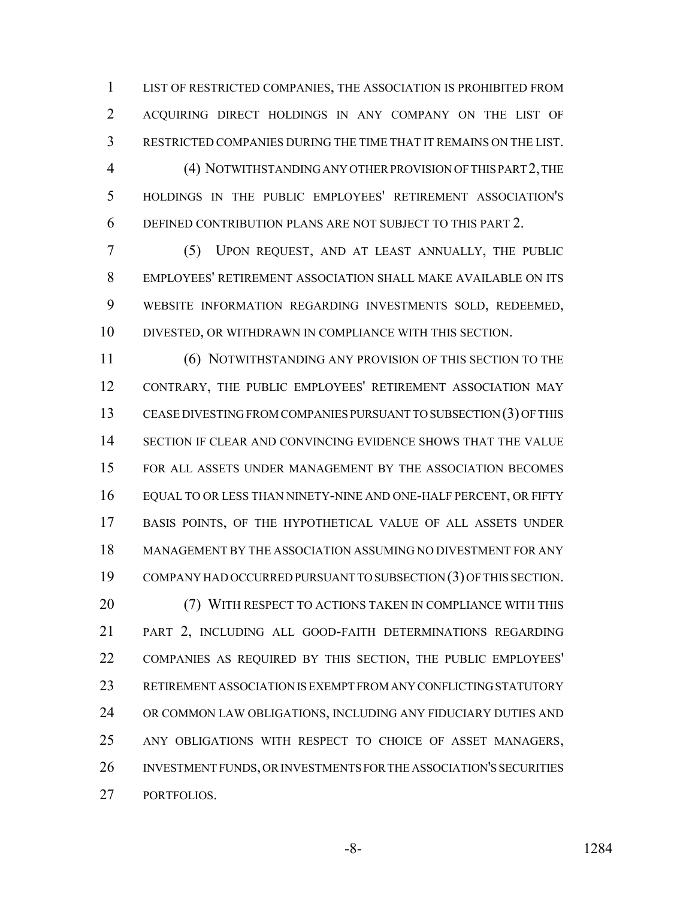LIST OF RESTRICTED COMPANIES, THE ASSOCIATION IS PROHIBITED FROM ACQUIRING DIRECT HOLDINGS IN ANY COMPANY ON THE LIST OF RESTRICTED COMPANIES DURING THE TIME THAT IT REMAINS ON THE LIST. (4) NOTWITHSTANDING ANY OTHER PROVISION OF THIS PART 2, THE HOLDINGS IN THE PUBLIC EMPLOYEES' RETIREMENT ASSOCIATION'S DEFINED CONTRIBUTION PLANS ARE NOT SUBJECT TO THIS PART 2.

 (5) UPON REQUEST, AND AT LEAST ANNUALLY, THE PUBLIC EMPLOYEES' RETIREMENT ASSOCIATION SHALL MAKE AVAILABLE ON ITS WEBSITE INFORMATION REGARDING INVESTMENTS SOLD, REDEEMED, DIVESTED, OR WITHDRAWN IN COMPLIANCE WITH THIS SECTION.

 (6) NOTWITHSTANDING ANY PROVISION OF THIS SECTION TO THE CONTRARY, THE PUBLIC EMPLOYEES' RETIREMENT ASSOCIATION MAY CEASE DIVESTING FROM COMPANIES PURSUANT TO SUBSECTION (3) OF THIS 14 SECTION IF CLEAR AND CONVINCING EVIDENCE SHOWS THAT THE VALUE FOR ALL ASSETS UNDER MANAGEMENT BY THE ASSOCIATION BECOMES EQUAL TO OR LESS THAN NINETY-NINE AND ONE-HALF PERCENT, OR FIFTY BASIS POINTS, OF THE HYPOTHETICAL VALUE OF ALL ASSETS UNDER MANAGEMENT BY THE ASSOCIATION ASSUMING NO DIVESTMENT FOR ANY COMPANY HAD OCCURRED PURSUANT TO SUBSECTION (3) OF THIS SECTION. (7) WITH RESPECT TO ACTIONS TAKEN IN COMPLIANCE WITH THIS PART 2, INCLUDING ALL GOOD-FAITH DETERMINATIONS REGARDING COMPANIES AS REQUIRED BY THIS SECTION, THE PUBLIC EMPLOYEES' RETIREMENT ASSOCIATION IS EXEMPT FROM ANY CONFLICTING STATUTORY OR COMMON LAW OBLIGATIONS, INCLUDING ANY FIDUCIARY DUTIES AND ANY OBLIGATIONS WITH RESPECT TO CHOICE OF ASSET MANAGERS, INVESTMENT FUNDS, OR INVESTMENTS FOR THE ASSOCIATION'S SECURITIES

PORTFOLIOS.

-8- 1284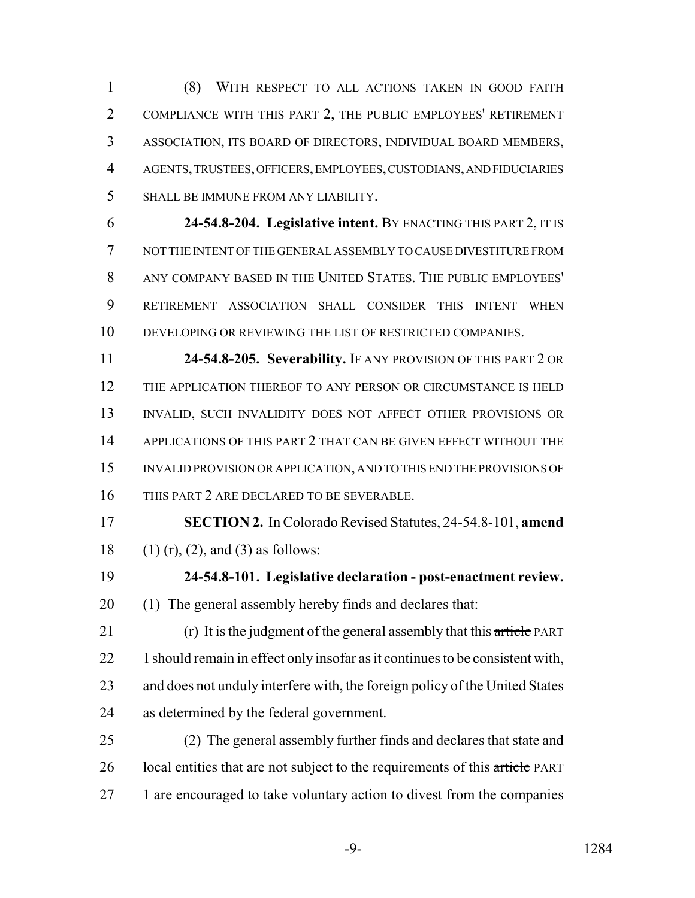(8) WITH RESPECT TO ALL ACTIONS TAKEN IN GOOD FAITH COMPLIANCE WITH THIS PART 2, THE PUBLIC EMPLOYEES' RETIREMENT ASSOCIATION, ITS BOARD OF DIRECTORS, INDIVIDUAL BOARD MEMBERS, AGENTS, TRUSTEES, OFFICERS, EMPLOYEES, CUSTODIANS, AND FIDUCIARIES SHALL BE IMMUNE FROM ANY LIABILITY.

 **24-54.8-204. Legislative intent.** BY ENACTING THIS PART 2, IT IS NOT THE INTENT OF THE GENERAL ASSEMBLY TO CAUSE DIVESTITURE FROM ANY COMPANY BASED IN THE UNITED STATES. THE PUBLIC EMPLOYEES' RETIREMENT ASSOCIATION SHALL CONSIDER THIS INTENT WHEN DEVELOPING OR REVIEWING THE LIST OF RESTRICTED COMPANIES.

 **24-54.8-205. Severability.** IF ANY PROVISION OF THIS PART 2 OR THE APPLICATION THEREOF TO ANY PERSON OR CIRCUMSTANCE IS HELD 13 INVALID, SUCH INVALIDITY DOES NOT AFFECT OTHER PROVISIONS OR 14 APPLICATIONS OF THIS PART 2 THAT CAN BE GIVEN EFFECT WITHOUT THE INVALID PROVISION OR APPLICATION, AND TO THIS END THE PROVISIONS OF THIS PART 2 ARE DECLARED TO BE SEVERABLE.

 **SECTION 2.** In Colorado Revised Statutes, 24-54.8-101, **amend** 18 (1) (r), (2), and (3) as follows:

 **24-54.8-101. Legislative declaration - post-enactment review.** (1) The general assembly hereby finds and declares that:

21 (r) It is the judgment of the general assembly that this article PART 22 1 should remain in effect only insofar as it continues to be consistent with, and does not unduly interfere with, the foreign policy of the United States as determined by the federal government.

 (2) The general assembly further finds and declares that state and 26 local entities that are not subject to the requirements of this article PART 27 1 are encouraged to take voluntary action to divest from the companies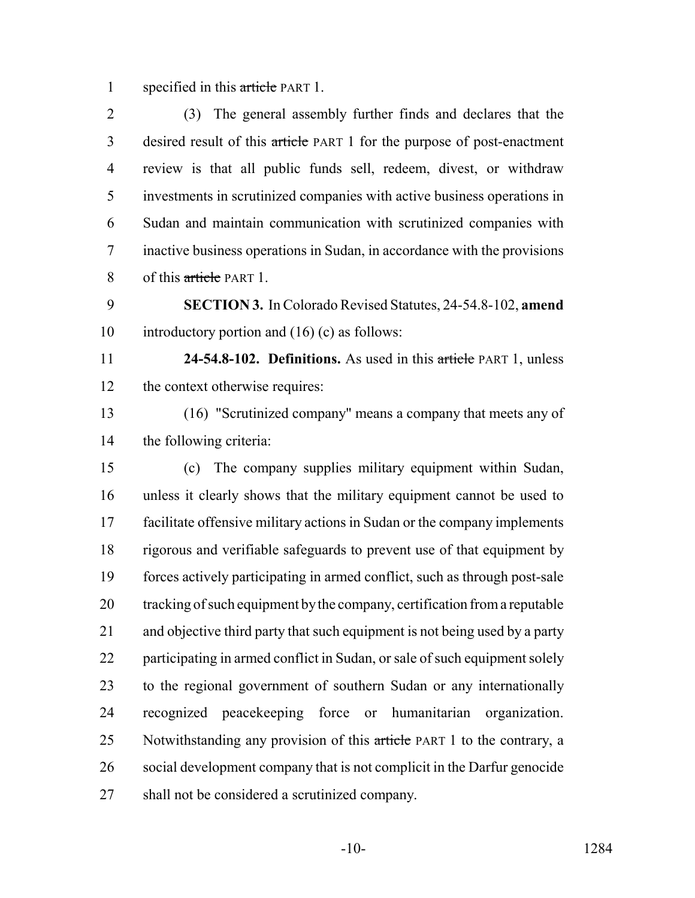1 specified in this article PART 1.

 (3) The general assembly further finds and declares that the desired result of this article PART 1 for the purpose of post-enactment review is that all public funds sell, redeem, divest, or withdraw investments in scrutinized companies with active business operations in Sudan and maintain communication with scrutinized companies with inactive business operations in Sudan, in accordance with the provisions 8 of this article PART 1.

 **SECTION 3.** In Colorado Revised Statutes, 24-54.8-102, **amend** introductory portion and (16) (c) as follows:

 **24-54.8-102. Definitions.** As used in this article PART 1, unless the context otherwise requires:

 (16) "Scrutinized company" means a company that meets any of the following criteria:

 (c) The company supplies military equipment within Sudan, unless it clearly shows that the military equipment cannot be used to facilitate offensive military actions in Sudan or the company implements rigorous and verifiable safeguards to prevent use of that equipment by forces actively participating in armed conflict, such as through post-sale tracking of such equipment by the company, certification from a reputable and objective third party that such equipment is not being used by a party participating in armed conflict in Sudan, or sale of such equipment solely to the regional government of southern Sudan or any internationally recognized peacekeeping force or humanitarian organization. 25 Notwithstanding any provision of this article PART 1 to the contrary, a social development company that is not complicit in the Darfur genocide shall not be considered a scrutinized company.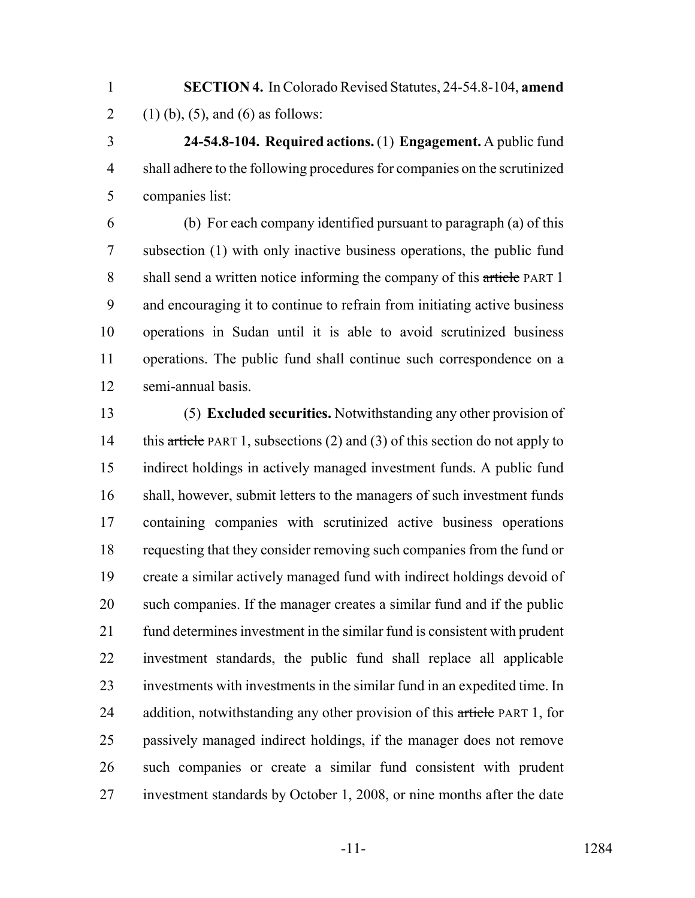**SECTION 4.** In Colorado Revised Statutes, 24-54.8-104, **amend** 2 (1) (b), (5), and (6) as follows:

 **24-54.8-104. Required actions.** (1) **Engagement.** A public fund shall adhere to the following procedures for companies on the scrutinized companies list:

 (b) For each company identified pursuant to paragraph (a) of this subsection (1) with only inactive business operations, the public fund 8 shall send a written notice informing the company of this article PART 1 and encouraging it to continue to refrain from initiating active business operations in Sudan until it is able to avoid scrutinized business operations. The public fund shall continue such correspondence on a semi-annual basis.

 (5) **Excluded securities.** Notwithstanding any other provision of 14 this article PART 1, subsections (2) and (3) of this section do not apply to indirect holdings in actively managed investment funds. A public fund shall, however, submit letters to the managers of such investment funds containing companies with scrutinized active business operations requesting that they consider removing such companies from the fund or create a similar actively managed fund with indirect holdings devoid of such companies. If the manager creates a similar fund and if the public fund determines investment in the similar fund is consistent with prudent investment standards, the public fund shall replace all applicable investments with investments in the similar fund in an expedited time. In 24 addition, notwithstanding any other provision of this article PART 1, for passively managed indirect holdings, if the manager does not remove such companies or create a similar fund consistent with prudent investment standards by October 1, 2008, or nine months after the date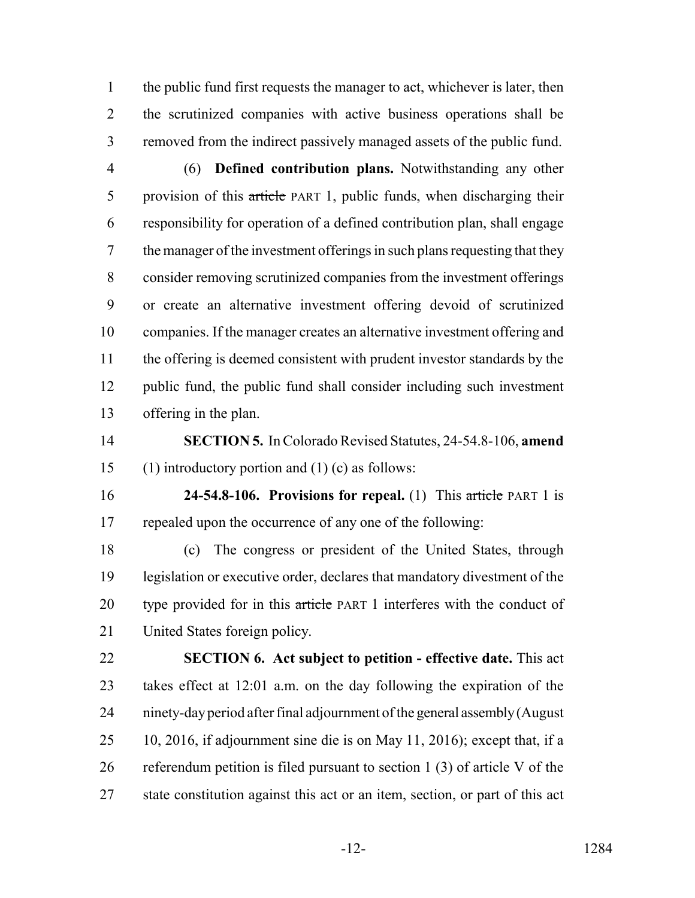the public fund first requests the manager to act, whichever is later, then the scrutinized companies with active business operations shall be removed from the indirect passively managed assets of the public fund.

- (6) **Defined contribution plans.** Notwithstanding any other 5 provision of this article PART 1, public funds, when discharging their responsibility for operation of a defined contribution plan, shall engage the manager of the investment offerings in such plans requesting that they consider removing scrutinized companies from the investment offerings or create an alternative investment offering devoid of scrutinized companies. If the manager creates an alternative investment offering and the offering is deemed consistent with prudent investor standards by the public fund, the public fund shall consider including such investment offering in the plan.
- **SECTION 5.** In Colorado Revised Statutes, 24-54.8-106, **amend** (1) introductory portion and (1) (c) as follows:
- **24-54.8-106. Provisions for repeal.** (1) This article PART 1 is repealed upon the occurrence of any one of the following:

 (c) The congress or president of the United States, through legislation or executive order, declares that mandatory divestment of the 20 type provided for in this article PART 1 interferes with the conduct of United States foreign policy.

 **SECTION 6. Act subject to petition - effective date.** This act takes effect at 12:01 a.m. on the day following the expiration of the ninety-day period after final adjournment of the general assembly (August 10, 2016, if adjournment sine die is on May 11, 2016); except that, if a referendum petition is filed pursuant to section 1 (3) of article V of the state constitution against this act or an item, section, or part of this act